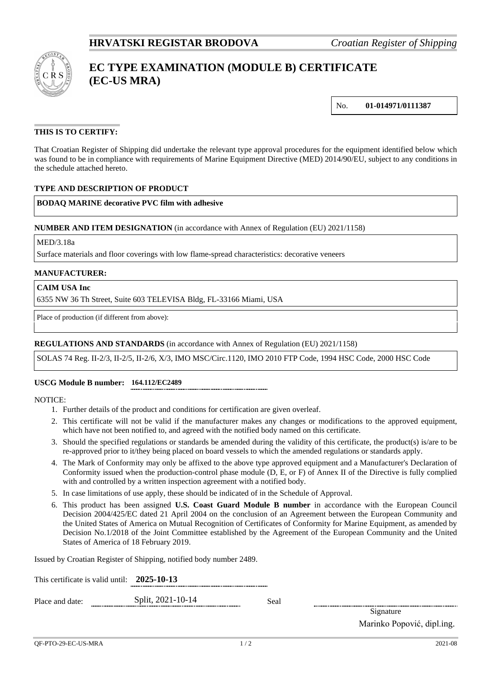

# **EC TYPE EXAMINATION (MODULE B) CERTIFICATE (EC-US MRA)**

No. **01-014971/0111387**

# **THIS IS TO CERTIFY:**

That Croatian Register of Shipping did undertake the relevant type approval procedures for the equipment identified below which was found to be in compliance with requirements of Marine Equipment Directive (MED) 2014/90/EU, subject to any conditions in the schedule attached hereto.

### **TYPE AND DESCRIPTION OF PRODUCT**

**BODAQ MARINE decorative PVC film with adhesive**

#### **NUMBER AND ITEM DESIGNATION** (in accordance with Annex of Regulation (EU) 2021/1158)

MED/3.18a

Surface materials and floor coverings with low flame-spread characteristics: decorative veneers

#### **MANUFACTURER:**

**CAIM USA Inc**

6355 NW 36 Th Street, Suite 603 TELEVISA Bldg, FL-33166 Miami, USA

Place of production (if different from above):

#### **REGULATIONS AND STANDARDS** (in accordance with Annex of Regulation (EU) 2021/1158)

SOLAS 74 Reg. II-2/3, II-2/5, II-2/6, X/3, IMO MSC/Circ.1120, IMO 2010 FTP Code, 1994 HSC Code, 2000 HSC Code

#### **USCG Module B number: 164.112/EC2489**

NOTICE:

- 1. Further details of the product and conditions for certification are given overleaf.
- 2. This certificate will not be valid if the manufacturer makes any changes or modifications to the approved equipment, which have not been notified to, and agreed with the notified body named on this certificate.
- 3. Should the specified regulations or standards be amended during the validity of this certificate, the product(s) is/are to be re-approved prior to it/they being placed on board vessels to which the amended regulations or standards apply.
- 4. The Mark of Conformity may only be affixed to the above type approved equipment and a Manufacturer's Declaration of Conformity issued when the production-control phase module (D, E, or F) of Annex II of the Directive is fully complied with and controlled by a written inspection agreement with a notified body.
- 5. In case limitations of use apply, these should be indicated of in the Schedule of Approval.
- 6. This product has been assigned **U.S. Coast Guard Module B number** in accordance with the European Council Decision 2004/425/EC dated 21 April 2004 on the conclusion of an Agreement between the European Community and the United States of America on Mutual Recognition of Certificates of Conformity for Marine Equipment, as amended by Decision No.1/2018 of the Joint Committee established by the Agreement of the European Community and the United States of America of 18 February 2019.

Issued by Croatian Register of Shipping, notified body number 2489.

| This certificate is valid until: $2025 - 10 - 13$ |                   |      |
|---------------------------------------------------|-------------------|------|
| Place and date:                                   | Split, 2021-10-14 | Seal |

Signature

Marinko Popović, dipl.ing.